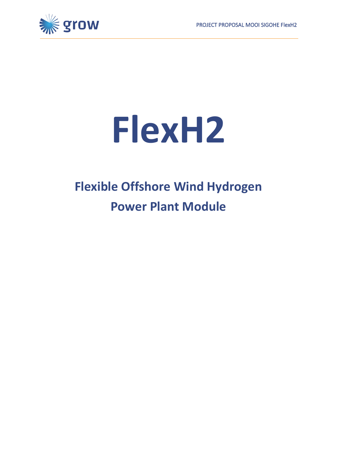

# **FlexH2**

## **Flexible Offshore Wind Hydrogen Power Plant Module**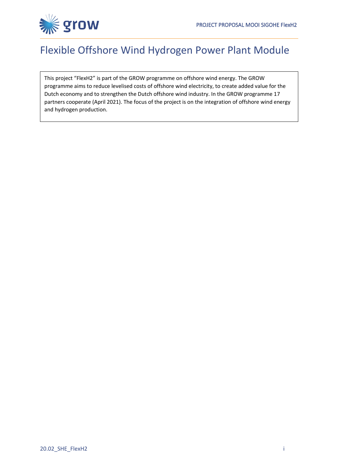

### Flexible Offshore Wind Hydrogen Power Plant Module

This project "FlexH2" is part of the GROW programme on offshore wind energy. The GROW programme aims to reduce levelised costs of offshore wind electricity, to create added value for the Dutch economy and to strengthen the Dutch offshore wind industry. In the GROW programme 17 partners cooperate (April 2021). The focus of the project is on the integration of offshore wind energy and hydrogen production.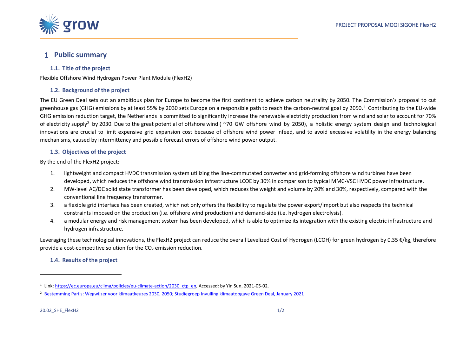

#### **Public summary**

#### **1.1. Title of the project**

Flexible Offshore Wind Hydrogen Power Plant Module (FlexH2)

#### **1.2. Background of the project**

The EU Green Deal sets out an ambitious plan for Europe to become the first continent to achieve carbon neutrality by 2050. The Commission's proposal to cut greenhouse gas (GHG) emissions by at least 55% by 2030 sets Europe on a responsible path to reach the carbon-neutral goal by 2050. <sup>1</sup> Contributing to the EU-wide GHG emission reduction target, the Netherlands is committed to significantly increase the renewable electricity production from wind and solar to account for 70% of electricity supply<sup>2</sup> by 2030. Due to the great potential of offshore wind ( $\sim$ 70 GW offshore wind by 2050), a holistic energy system design and technological innovations are crucial to limit expensive grid expansion cost because of offshore wind power infeed, and to avoid excessive volatility in the energy balancing mechanisms, caused by intermittency and possible forecast errors of offshore wind power output.

#### **1.3. Objectives of the project**

By the end of the FlexH2 project:

- 1. lightweight and compact HVDC transmission system utilizing the line-commutated converter and grid-forming offshore wind turbines have been developed, which reduces the offshore wind transmission infrastructure LCOE by 30% in comparison to typical MMC-VSC HVDC power infrastructure.
- 2. MW-level AC/DC solid state transformer has been developed, which reduces the weight and volume by 20% and 30%, respectively, compared with the conventional line frequency transformer.
- 3. a flexible grid interface has been created, which not only offers the flexibility to regulate the power export/import but also respects the technical constraints imposed on the production (i.e. offshore wind production) and demand-side (i.e. hydrogen electrolysis).
- 4. a modular energy and risk management system has been developed, which is able to optimize its integration with the existing electric infrastructure and hydrogen infrastructure.

Leveraging these technological innovations, the FlexH2 project can reduce the overall Levelized Cost of Hydrogen (LCOH) for green hydrogen by 0.35 €/kg, therefore provide a cost-competitive solution for the  $CO<sub>2</sub>$  emission reduction.

#### **1.4. Results of the project**

<sup>1</sup> Link[: https://ec.europa.eu/clima/policies/eu-climate-action/2030\\_ctp\\_en,](https://ec.europa.eu/clima/policies/eu-climate-action/2030_ctp_en) Accessed: by Yin Sun, 2021-05-02.

<sup>2</sup> [Bestemming Parijs: Wegwijzer voor klimaatkeuzes 2030, 2050; Studiegroep Invulling klimaatopgave Green Deal, January 2021](https://www.rijksoverheid.nl/binaries/rijksoverheid/documenten/rapporten/2021/01/29/bestemming-parijs-wegwijzer-voor-klimaatkeuzes-2030-2050/bijlage-1-rapport-bestemming-parijs-wegwijzer-voor-klimaatkeuzes.pdf)